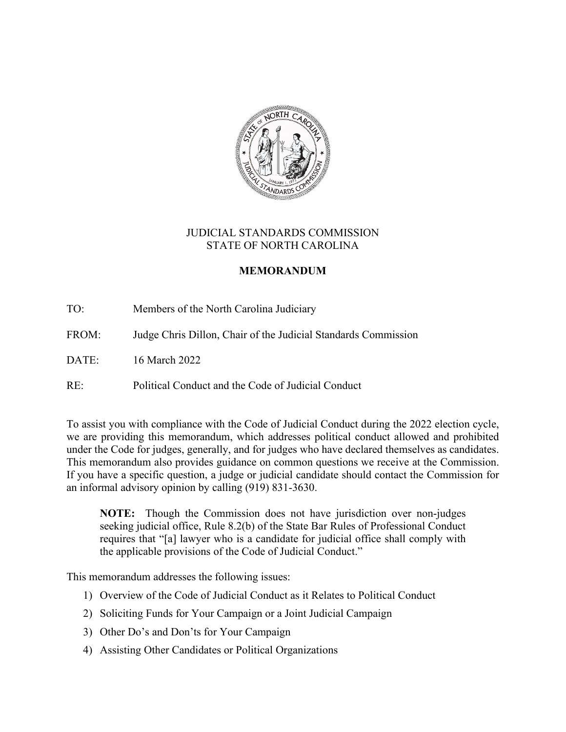

## JUDICIAL STANDARDS COMMISSION STATE OF NORTH CAROLINA

# **MEMORANDUM**

TO: Members of the North Carolina Judiciary

FROM: Judge Chris Dillon, Chair of the Judicial Standards Commission

DATE: 16 March 2022

RE: Political Conduct and the Code of Judicial Conduct

To assist you with compliance with the Code of Judicial Conduct during the 2022 election cycle, we are providing this memorandum, which addresses political conduct allowed and prohibited under the Code for judges, generally, and for judges who have declared themselves as candidates. This memorandum also provides guidance on common questions we receive at the Commission. If you have a specific question, a judge or judicial candidate should contact the Commission for an informal advisory opinion by calling (919) 831-3630.

**NOTE:** Though the Commission does not have jurisdiction over non-judges seeking judicial office, Rule 8.2(b) of the State Bar Rules of Professional Conduct requires that "[a] lawyer who is a candidate for judicial office shall comply with the applicable provisions of the Code of Judicial Conduct."

This memorandum addresses the following issues:

- 1) Overview of the Code of Judicial Conduct as it Relates to Political Conduct
- 2) Soliciting Funds for Your Campaign or a Joint Judicial Campaign
- 3) Other Do's and Don'ts for Your Campaign
- 4) Assisting Other Candidates or Political Organizations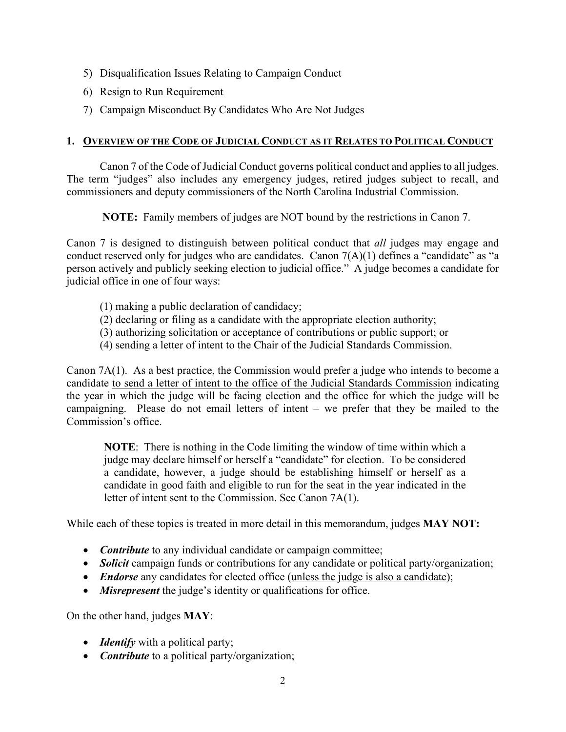- 5) Disqualification Issues Relating to Campaign Conduct
- 6) Resign to Run Requirement
- 7) Campaign Misconduct By Candidates Who Are Not Judges

## **1. OVERVIEW OF THE CODE OF JUDICIAL CONDUCT AS IT RELATES TO POLITICAL CONDUCT**

Canon 7 of the Code of Judicial Conduct governs political conduct and applies to all judges. The term "judges" also includes any emergency judges, retired judges subject to recall, and commissioners and deputy commissioners of the North Carolina Industrial Commission.

**NOTE:** Family members of judges are NOT bound by the restrictions in Canon 7.

Canon 7 is designed to distinguish between political conduct that *all* judges may engage and conduct reserved only for judges who are candidates. Canon 7(A)(1) defines a "candidate" as "a person actively and publicly seeking election to judicial office." A judge becomes a candidate for judicial office in one of four ways:

- (1) making a public declaration of candidacy;
- (2) declaring or filing as a candidate with the appropriate election authority;
- (3) authorizing solicitation or acceptance of contributions or public support; or
- (4) sending a letter of intent to the Chair of the Judicial Standards Commission.

Canon 7A(1). As a best practice, the Commission would prefer a judge who intends to become a candidate to send a letter of intent to the office of the Judicial Standards Commission indicating the year in which the judge will be facing election and the office for which the judge will be campaigning. Please do not email letters of intent – we prefer that they be mailed to the Commission's office.

**NOTE**: There is nothing in the Code limiting the window of time within which a judge may declare himself or herself a "candidate" for election. To be considered a candidate, however, a judge should be establishing himself or herself as a candidate in good faith and eligible to run for the seat in the year indicated in the letter of intent sent to the Commission. See Canon 7A(1).

While each of these topics is treated in more detail in this memorandum, judges **MAY NOT:**

- *Contribute* to any individual candidate or campaign committee;
- *Solicit* campaign funds or contributions for any candidate or political party/organization;
- *Endorse* any candidates for elected office (unless the judge is also a candidate);
- *Misrepresent* the judge's identity or qualifications for office.

On the other hand, judges **MAY**:

- *Identify* with a political party;
- *Contribute* to a political party/organization;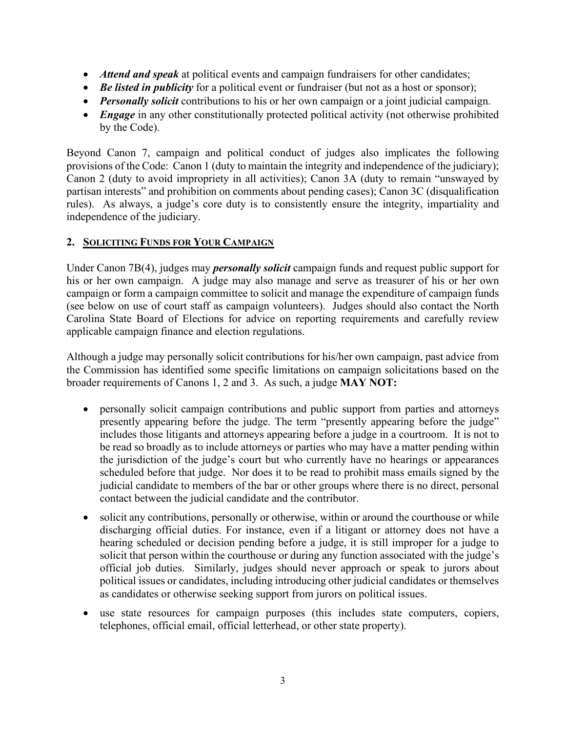- *Attend and speak* at political events and campaign fundraisers for other candidates;
- *Be listed in publicity* for a political event or fundraiser (but not as a host or sponsor);
- *Personally solicit* contributions to his or her own campaign or a joint judicial campaign.
- *Engage* in any other constitutionally protected political activity (not otherwise prohibited by the Code).

Beyond Canon 7, campaign and political conduct of judges also implicates the following provisions of the Code: Canon 1 (duty to maintain the integrity and independence of the judiciary); Canon 2 (duty to avoid impropriety in all activities); Canon 3A (duty to remain "unswayed by partisan interests" and prohibition on comments about pending cases); Canon 3C (disqualification rules). As always, a judge's core duty is to consistently ensure the integrity, impartiality and independence of the judiciary.

## **2. SOLICITING FUNDS FOR YOUR CAMPAIGN**

Under Canon 7B(4), judges may *personally solicit* campaign funds and request public support for his or her own campaign. A judge may also manage and serve as treasurer of his or her own campaign or form a campaign committee to solicit and manage the expenditure of campaign funds (see below on use of court staff as campaign volunteers). Judges should also contact the North Carolina State Board of Elections for advice on reporting requirements and carefully review applicable campaign finance and election regulations.

Although a judge may personally solicit contributions for his/her own campaign, past advice from the Commission has identified some specific limitations on campaign solicitations based on the broader requirements of Canons 1, 2 and 3. As such, a judge **MAY NOT:**

- personally solicit campaign contributions and public support from parties and attorneys presently appearing before the judge. The term "presently appearing before the judge" includes those litigants and attorneys appearing before a judge in a courtroom. It is not to be read so broadly as to include attorneys or parties who may have a matter pending within the jurisdiction of the judge's court but who currently have no hearings or appearances scheduled before that judge. Nor does it to be read to prohibit mass emails signed by the judicial candidate to members of the bar or other groups where there is no direct, personal contact between the judicial candidate and the contributor.
- solicit any contributions, personally or otherwise, within or around the courthouse or while discharging official duties. For instance, even if a litigant or attorney does not have a hearing scheduled or decision pending before a judge, it is still improper for a judge to solicit that person within the courthouse or during any function associated with the judge's official job duties. Similarly, judges should never approach or speak to jurors about political issues or candidates, including introducing other judicial candidates or themselves as candidates or otherwise seeking support from jurors on political issues.
- use state resources for campaign purposes (this includes state computers, copiers, telephones, official email, official letterhead, or other state property).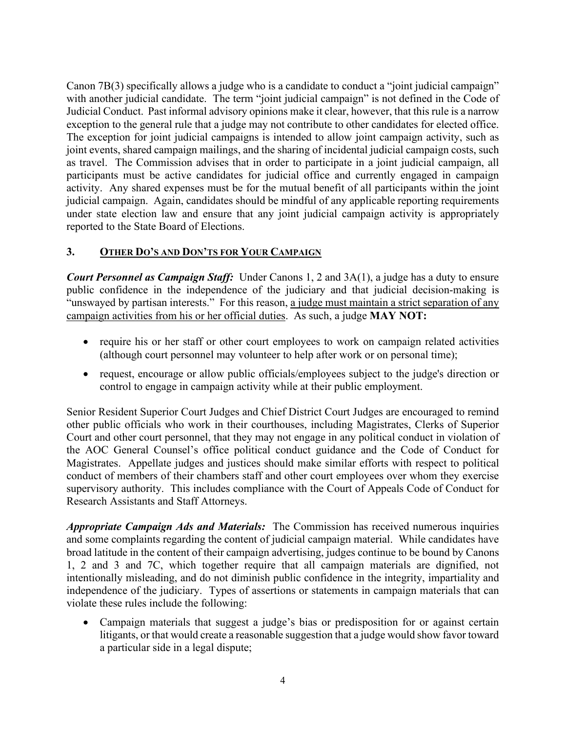Canon 7B(3) specifically allows a judge who is a candidate to conduct a "joint judicial campaign" with another judicial candidate. The term "joint judicial campaign" is not defined in the Code of Judicial Conduct. Past informal advisory opinions make it clear, however, that this rule is a narrow exception to the general rule that a judge may not contribute to other candidates for elected office. The exception for joint judicial campaigns is intended to allow joint campaign activity, such as joint events, shared campaign mailings, and the sharing of incidental judicial campaign costs, such as travel. The Commission advises that in order to participate in a joint judicial campaign, all participants must be active candidates for judicial office and currently engaged in campaign activity. Any shared expenses must be for the mutual benefit of all participants within the joint judicial campaign. Again, candidates should be mindful of any applicable reporting requirements under state election law and ensure that any joint judicial campaign activity is appropriately reported to the State Board of Elections.

# **3. OTHER DO'S AND DON'TS FOR YOUR CAMPAIGN**

*Court Personnel as Campaign Staff:* Under Canons 1, 2 and 3A(1), a judge has a duty to ensure public confidence in the independence of the judiciary and that judicial decision-making is "unswayed by partisan interests." For this reason, a judge must maintain a strict separation of any campaign activities from his or her official duties. As such, a judge **MAY NOT:** 

- require his or her staff or other court employees to work on campaign related activities (although court personnel may volunteer to help after work or on personal time);
- request, encourage or allow public officials/employees subject to the judge's direction or control to engage in campaign activity while at their public employment.

Senior Resident Superior Court Judges and Chief District Court Judges are encouraged to remind other public officials who work in their courthouses, including Magistrates, Clerks of Superior Court and other court personnel, that they may not engage in any political conduct in violation of the AOC General Counsel's office political conduct guidance and the Code of Conduct for Magistrates. Appellate judges and justices should make similar efforts with respect to political conduct of members of their chambers staff and other court employees over whom they exercise supervisory authority. This includes compliance with the Court of Appeals Code of Conduct for Research Assistants and Staff Attorneys.

*Appropriate Campaign Ads and Materials:* The Commission has received numerous inquiries and some complaints regarding the content of judicial campaign material. While candidates have broad latitude in the content of their campaign advertising, judges continue to be bound by Canons 1, 2 and 3 and 7C, which together require that all campaign materials are dignified, not intentionally misleading, and do not diminish public confidence in the integrity, impartiality and independence of the judiciary. Types of assertions or statements in campaign materials that can violate these rules include the following:

• Campaign materials that suggest a judge's bias or predisposition for or against certain litigants, or that would create a reasonable suggestion that a judge would show favor toward a particular side in a legal dispute;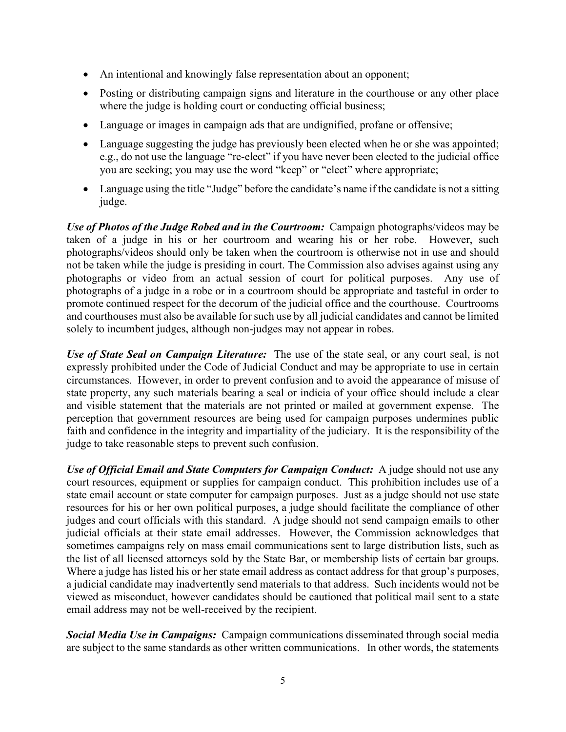- An intentional and knowingly false representation about an opponent;
- Posting or distributing campaign signs and literature in the courthouse or any other place where the judge is holding court or conducting official business;
- Language or images in campaign ads that are undignified, profane or offensive;
- Language suggesting the judge has previously been elected when he or she was appointed; e.g., do not use the language "re-elect" if you have never been elected to the judicial office you are seeking; you may use the word "keep" or "elect" where appropriate;
- Language using the title "Judge" before the candidate's name if the candidate is not a sitting judge.

*Use of Photos of the Judge Robed and in the Courtroom:* Campaign photographs/videos may be taken of a judge in his or her courtroom and wearing his or her robe. However, such photographs/videos should only be taken when the courtroom is otherwise not in use and should not be taken while the judge is presiding in court. The Commission also advises against using any photographs or video from an actual session of court for political purposes. Any use of photographs of a judge in a robe or in a courtroom should be appropriate and tasteful in order to promote continued respect for the decorum of the judicial office and the courthouse. Courtrooms and courthouses must also be available for such use by all judicial candidates and cannot be limited solely to incumbent judges, although non-judges may not appear in robes.

*Use of State Seal on Campaign Literature:* The use of the state seal, or any court seal, is not expressly prohibited under the Code of Judicial Conduct and may be appropriate to use in certain circumstances. However, in order to prevent confusion and to avoid the appearance of misuse of state property, any such materials bearing a seal or indicia of your office should include a clear and visible statement that the materials are not printed or mailed at government expense. The perception that government resources are being used for campaign purposes undermines public faith and confidence in the integrity and impartiality of the judiciary. It is the responsibility of the judge to take reasonable steps to prevent such confusion.

*Use of Official Email and State Computers for Campaign Conduct:* A judge should not use any court resources, equipment or supplies for campaign conduct. This prohibition includes use of a state email account or state computer for campaign purposes. Just as a judge should not use state resources for his or her own political purposes, a judge should facilitate the compliance of other judges and court officials with this standard. A judge should not send campaign emails to other judicial officials at their state email addresses. However, the Commission acknowledges that sometimes campaigns rely on mass email communications sent to large distribution lists, such as the list of all licensed attorneys sold by the State Bar, or membership lists of certain bar groups. Where a judge has listed his or her state email address as contact address for that group's purposes, a judicial candidate may inadvertently send materials to that address. Such incidents would not be viewed as misconduct, however candidates should be cautioned that political mail sent to a state email address may not be well-received by the recipient.

*Social Media Use in Campaigns:* Campaign communications disseminated through social media are subject to the same standards as other written communications. In other words, the statements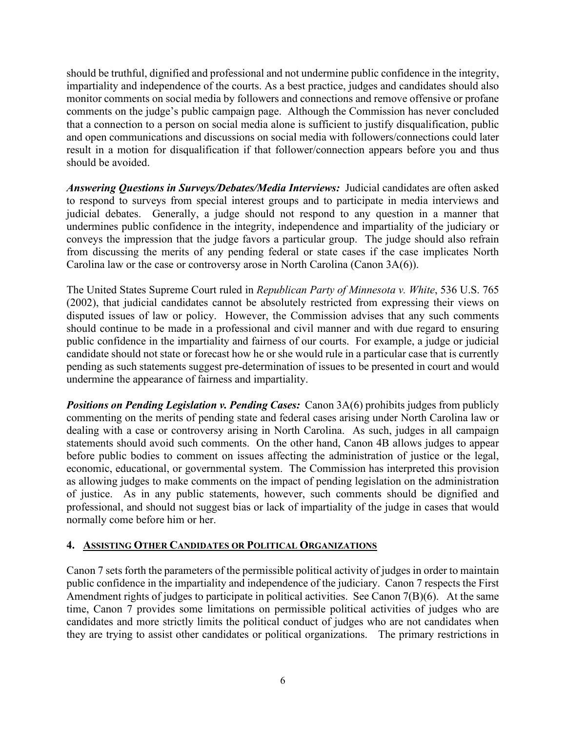should be truthful, dignified and professional and not undermine public confidence in the integrity, impartiality and independence of the courts. As a best practice, judges and candidates should also monitor comments on social media by followers and connections and remove offensive or profane comments on the judge's public campaign page. Although the Commission has never concluded that a connection to a person on social media alone is sufficient to justify disqualification, public and open communications and discussions on social media with followers/connections could later result in a motion for disqualification if that follower/connection appears before you and thus should be avoided.

*Answering Questions in Surveys/Debates/Media Interviews:* Judicial candidates are often asked to respond to surveys from special interest groups and to participate in media interviews and judicial debates. Generally, a judge should not respond to any question in a manner that undermines public confidence in the integrity, independence and impartiality of the judiciary or conveys the impression that the judge favors a particular group. The judge should also refrain from discussing the merits of any pending federal or state cases if the case implicates North Carolina law or the case or controversy arose in North Carolina (Canon 3A(6)).

The United States Supreme Court ruled in *Republican Party of Minnesota v. White*, 536 U.S. 765 (2002), that judicial candidates cannot be absolutely restricted from expressing their views on disputed issues of law or policy. However, the Commission advises that any such comments should continue to be made in a professional and civil manner and with due regard to ensuring public confidence in the impartiality and fairness of our courts. For example, a judge or judicial candidate should not state or forecast how he or she would rule in a particular case that is currently pending as such statements suggest pre-determination of issues to be presented in court and would undermine the appearance of fairness and impartiality.

**Positions on Pending Legislation v. Pending Cases:** Canon 3A(6) prohibits judges from publicly commenting on the merits of pending state and federal cases arising under North Carolina law or dealing with a case or controversy arising in North Carolina. As such, judges in all campaign statements should avoid such comments. On the other hand, Canon 4B allows judges to appear before public bodies to comment on issues affecting the administration of justice or the legal, economic, educational, or governmental system. The Commission has interpreted this provision as allowing judges to make comments on the impact of pending legislation on the administration of justice. As in any public statements, however, such comments should be dignified and professional, and should not suggest bias or lack of impartiality of the judge in cases that would normally come before him or her.

#### **4. ASSISTING OTHER CANDIDATES OR POLITICAL ORGANIZATIONS**

Canon 7 sets forth the parameters of the permissible political activity of judges in order to maintain public confidence in the impartiality and independence of the judiciary. Canon 7 respects the First Amendment rights of judges to participate in political activities. See Canon 7(B)(6). At the same time, Canon 7 provides some limitations on permissible political activities of judges who are candidates and more strictly limits the political conduct of judges who are not candidates when they are trying to assist other candidates or political organizations. The primary restrictions in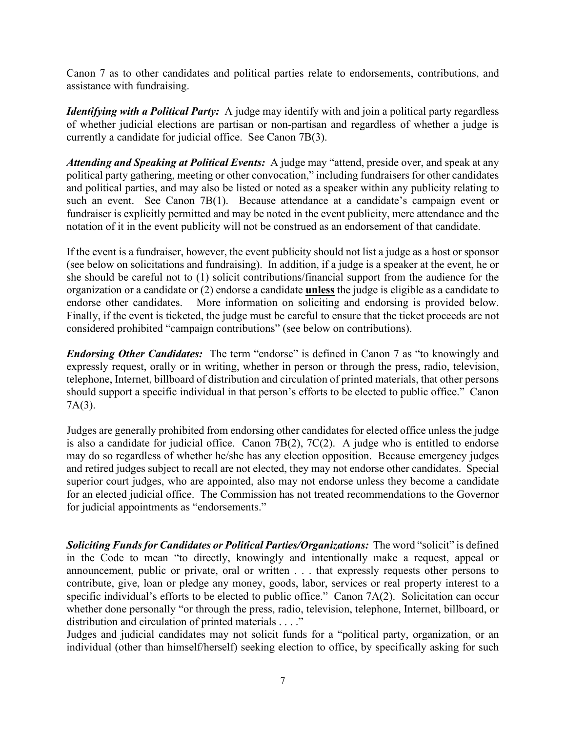Canon 7 as to other candidates and political parties relate to endorsements, contributions, and assistance with fundraising.

*Identifying with a Political Party:* A judge may identify with and join a political party regardless of whether judicial elections are partisan or non-partisan and regardless of whether a judge is currently a candidate for judicial office. See Canon 7B(3).

*Attending and Speaking at Political Events:* A judge may "attend, preside over, and speak at any political party gathering, meeting or other convocation," including fundraisers for other candidates and political parties, and may also be listed or noted as a speaker within any publicity relating to such an event. See Canon 7B(1). Because attendance at a candidate's campaign event or fundraiser is explicitly permitted and may be noted in the event publicity, mere attendance and the notation of it in the event publicity will not be construed as an endorsement of that candidate.

If the event is a fundraiser, however, the event publicity should not list a judge as a host or sponsor (see below on solicitations and fundraising). In addition, if a judge is a speaker at the event, he or she should be careful not to (1) solicit contributions/financial support from the audience for the organization or a candidate or (2) endorse a candidate **unless** the judge is eligible as a candidate to endorse other candidates. More information on soliciting and endorsing is provided below. Finally, if the event is ticketed, the judge must be careful to ensure that the ticket proceeds are not considered prohibited "campaign contributions" (see below on contributions).

*Endorsing Other Candidates:* The term "endorse" is defined in Canon 7 as "to knowingly and expressly request, orally or in writing, whether in person or through the press, radio, television, telephone, Internet, billboard of distribution and circulation of printed materials, that other persons should support a specific individual in that person's efforts to be elected to public office." Canon 7A(3).

Judges are generally prohibited from endorsing other candidates for elected office unless the judge is also a candidate for judicial office. Canon 7B(2), 7C(2). A judge who is entitled to endorse may do so regardless of whether he/she has any election opposition. Because emergency judges and retired judges subject to recall are not elected, they may not endorse other candidates. Special superior court judges, who are appointed, also may not endorse unless they become a candidate for an elected judicial office. The Commission has not treated recommendations to the Governor for judicial appointments as "endorsements."

*Soliciting Funds for Candidates or Political Parties/Organizations:* The word "solicit" is defined in the Code to mean "to directly, knowingly and intentionally make a request, appeal or announcement, public or private, oral or written . . . that expressly requests other persons to contribute, give, loan or pledge any money, goods, labor, services or real property interest to a specific individual's efforts to be elected to public office." Canon 7A(2). Solicitation can occur whether done personally "or through the press, radio, television, telephone, Internet, billboard, or distribution and circulation of printed materials . . . ."

Judges and judicial candidates may not solicit funds for a "political party, organization, or an individual (other than himself/herself) seeking election to office, by specifically asking for such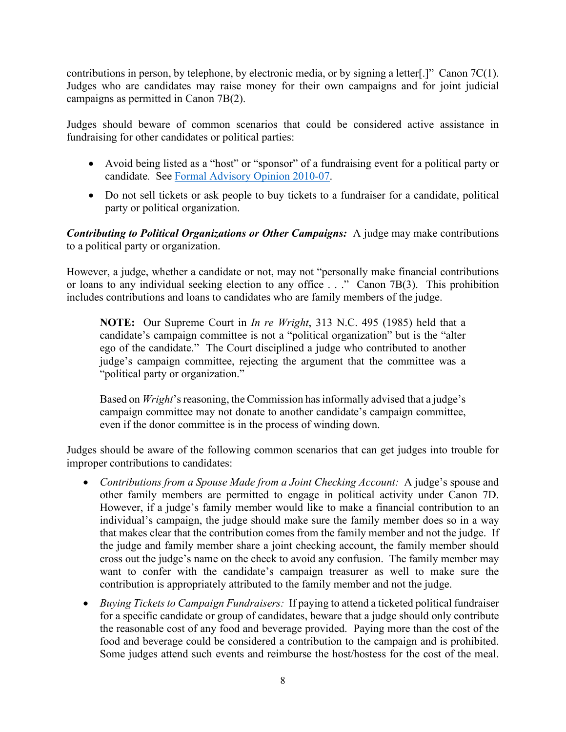contributions in person, by telephone, by electronic media, or by signing a letter.  $\Gamma$  Canon 7C(1). Judges who are candidates may raise money for their own campaigns and for joint judicial campaigns as permitted in Canon 7B(2).

Judges should beware of common scenarios that could be considered active assistance in fundraising for other candidates or political parties:

- Avoid being listed as a "host" or "sponsor" of a fundraising event for a political party or candidate*.* See [Formal Advisory Opinion 2010-07.](http://www.aoc.state.nc.us/www/public/coa/jsc/formaladvisoryopinions/10-07.pdf)
- Do not sell tickets or ask people to buy tickets to a fundraiser for a candidate, political party or political organization.

*Contributing to Political Organizations or Other Campaigns:* A judge may make contributions to a political party or organization.

However, a judge, whether a candidate or not, may not "personally make financial contributions or loans to any individual seeking election to any office . . ." Canon 7B(3). This prohibition includes contributions and loans to candidates who are family members of the judge.

**NOTE:** Our Supreme Court in *In re Wright*, 313 N.C. 495 (1985) held that a candidate's campaign committee is not a "political organization" but is the "alter ego of the candidate." The Court disciplined a judge who contributed to another judge's campaign committee, rejecting the argument that the committee was a "political party or organization."

Based on *Wright*'s reasoning, the Commission has informally advised that a judge's campaign committee may not donate to another candidate's campaign committee, even if the donor committee is in the process of winding down.

Judges should be aware of the following common scenarios that can get judges into trouble for improper contributions to candidates:

- *Contributions from a Spouse Made from a Joint Checking Account:* A judge's spouse and other family members are permitted to engage in political activity under Canon 7D. However, if a judge's family member would like to make a financial contribution to an individual's campaign, the judge should make sure the family member does so in a way that makes clear that the contribution comes from the family member and not the judge. If the judge and family member share a joint checking account, the family member should cross out the judge's name on the check to avoid any confusion. The family member may want to confer with the candidate's campaign treasurer as well to make sure the contribution is appropriately attributed to the family member and not the judge.
- *Buying Tickets to Campaign Fundraisers:* If paying to attend a ticketed political fundraiser for a specific candidate or group of candidates, beware that a judge should only contribute the reasonable cost of any food and beverage provided. Paying more than the cost of the food and beverage could be considered a contribution to the campaign and is prohibited. Some judges attend such events and reimburse the host/hostess for the cost of the meal.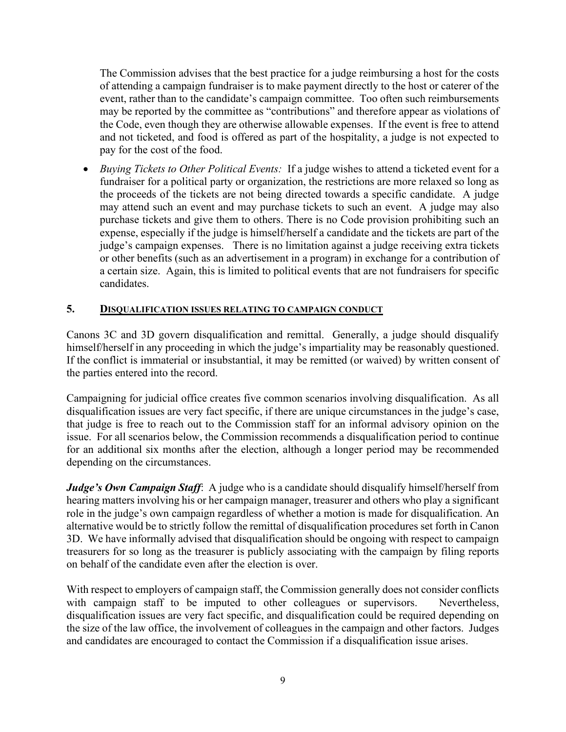The Commission advises that the best practice for a judge reimbursing a host for the costs of attending a campaign fundraiser is to make payment directly to the host or caterer of the event, rather than to the candidate's campaign committee. Too often such reimbursements may be reported by the committee as "contributions" and therefore appear as violations of the Code, even though they are otherwise allowable expenses. If the event is free to attend and not ticketed, and food is offered as part of the hospitality, a judge is not expected to pay for the cost of the food.

• *Buying Tickets to Other Political Events:* If a judge wishes to attend a ticketed event for a fundraiser for a political party or organization, the restrictions are more relaxed so long as the proceeds of the tickets are not being directed towards a specific candidate. A judge may attend such an event and may purchase tickets to such an event. A judge may also purchase tickets and give them to others. There is no Code provision prohibiting such an expense, especially if the judge is himself/herself a candidate and the tickets are part of the judge's campaign expenses. There is no limitation against a judge receiving extra tickets or other benefits (such as an advertisement in a program) in exchange for a contribution of a certain size. Again, this is limited to political events that are not fundraisers for specific candidates.

#### **5. DISQUALIFICATION ISSUES RELATING TO CAMPAIGN CONDUCT**

Canons 3C and 3D govern disqualification and remittal. Generally, a judge should disqualify himself/herself in any proceeding in which the judge's impartiality may be reasonably questioned. If the conflict is immaterial or insubstantial, it may be remitted (or waived) by written consent of the parties entered into the record.

Campaigning for judicial office creates five common scenarios involving disqualification. As all disqualification issues are very fact specific, if there are unique circumstances in the judge's case, that judge is free to reach out to the Commission staff for an informal advisory opinion on the issue. For all scenarios below, the Commission recommends a disqualification period to continue for an additional six months after the election, although a longer period may be recommended depending on the circumstances.

*Judge's Own Campaign Staff:* A judge who is a candidate should disqualify himself/herself from hearing matters involving his or her campaign manager, treasurer and others who play a significant role in the judge's own campaign regardless of whether a motion is made for disqualification. An alternative would be to strictly follow the remittal of disqualification procedures set forth in Canon 3D. We have informally advised that disqualification should be ongoing with respect to campaign treasurers for so long as the treasurer is publicly associating with the campaign by filing reports on behalf of the candidate even after the election is over.

With respect to employers of campaign staff, the Commission generally does not consider conflicts with campaign staff to be imputed to other colleagues or supervisors. Nevertheless, disqualification issues are very fact specific, and disqualification could be required depending on the size of the law office, the involvement of colleagues in the campaign and other factors. Judges and candidates are encouraged to contact the Commission if a disqualification issue arises.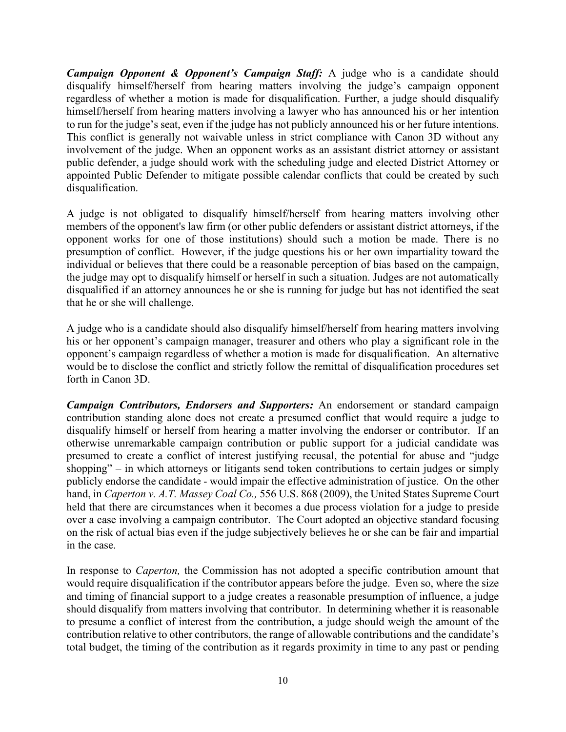*Campaign Opponent & Opponent's Campaign Staff:* A judge who is a candidate should disqualify himself/herself from hearing matters involving the judge's campaign opponent regardless of whether a motion is made for disqualification. Further, a judge should disqualify himself/herself from hearing matters involving a lawyer who has announced his or her intention to run for the judge's seat, even if the judge has not publicly announced his or her future intentions. This conflict is generally not waivable unless in strict compliance with Canon 3D without any involvement of the judge. When an opponent works as an assistant district attorney or assistant public defender, a judge should work with the scheduling judge and elected District Attorney or appointed Public Defender to mitigate possible calendar conflicts that could be created by such disqualification.

A judge is not obligated to disqualify himself/herself from hearing matters involving other members of the opponent's law firm (or other public defenders or assistant district attorneys, if the opponent works for one of those institutions) should such a motion be made. There is no presumption of conflict. However, if the judge questions his or her own impartiality toward the individual or believes that there could be a reasonable perception of bias based on the campaign, the judge may opt to disqualify himself or herself in such a situation. Judges are not automatically disqualified if an attorney announces he or she is running for judge but has not identified the seat that he or she will challenge.

A judge who is a candidate should also disqualify himself/herself from hearing matters involving his or her opponent's campaign manager, treasurer and others who play a significant role in the opponent's campaign regardless of whether a motion is made for disqualification. An alternative would be to disclose the conflict and strictly follow the remittal of disqualification procedures set forth in Canon 3D.

*Campaign Contributors, Endorsers and Supporters:* An endorsement or standard campaign contribution standing alone does not create a presumed conflict that would require a judge to disqualify himself or herself from hearing a matter involving the endorser or contributor. If an otherwise unremarkable campaign contribution or public support for a judicial candidate was presumed to create a conflict of interest justifying recusal, the potential for abuse and "judge shopping" – in which attorneys or litigants send token contributions to certain judges or simply publicly endorse the candidate - would impair the effective administration of justice. On the other hand, in *Caperton v. A.T. Massey Coal Co.,* 556 U.S. 868 (2009), the United States Supreme Court held that there are circumstances when it becomes a due process violation for a judge to preside over a case involving a campaign contributor. The Court adopted an objective standard focusing on the risk of actual bias even if the judge subjectively believes he or she can be fair and impartial in the case.

In response to *Caperton,* the Commission has not adopted a specific contribution amount that would require disqualification if the contributor appears before the judge. Even so, where the size and timing of financial support to a judge creates a reasonable presumption of influence, a judge should disqualify from matters involving that contributor. In determining whether it is reasonable to presume a conflict of interest from the contribution, a judge should weigh the amount of the contribution relative to other contributors, the range of allowable contributions and the candidate's total budget, the timing of the contribution as it regards proximity in time to any past or pending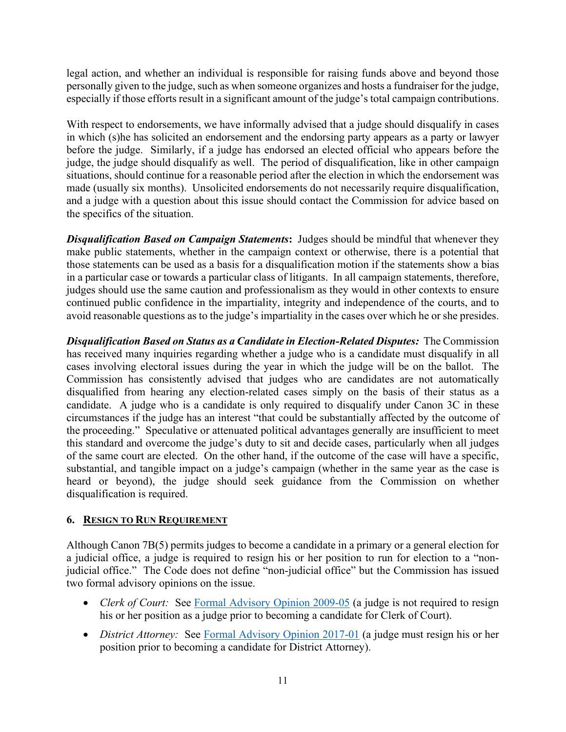legal action, and whether an individual is responsible for raising funds above and beyond those personally given to the judge, such as when someone organizes and hosts a fundraiser for the judge, especially if those efforts result in a significant amount of the judge's total campaign contributions.

With respect to endorsements, we have informally advised that a judge should disqualify in cases in which (s)he has solicited an endorsement and the endorsing party appears as a party or lawyer before the judge. Similarly, if a judge has endorsed an elected official who appears before the judge, the judge should disqualify as well. The period of disqualification, like in other campaign situations, should continue for a reasonable period after the election in which the endorsement was made (usually six months). Unsolicited endorsements do not necessarily require disqualification, and a judge with a question about this issue should contact the Commission for advice based on the specifics of the situation.

**Disqualification Based on Campaign Statements:** Judges should be mindful that whenever they make public statements, whether in the campaign context or otherwise, there is a potential that those statements can be used as a basis for a disqualification motion if the statements show a bias in a particular case or towards a particular class of litigants. In all campaign statements, therefore, judges should use the same caution and professionalism as they would in other contexts to ensure continued public confidence in the impartiality, integrity and independence of the courts, and to avoid reasonable questions as to the judge's impartiality in the cases over which he or she presides.

*Disqualification Based on Status as a Candidate in Election-Related Disputes:*The Commission has received many inquiries regarding whether a judge who is a candidate must disqualify in all cases involving electoral issues during the year in which the judge will be on the ballot. The Commission has consistently advised that judges who are candidates are not automatically disqualified from hearing any election-related cases simply on the basis of their status as a candidate. A judge who is a candidate is only required to disqualify under Canon 3C in these circumstances if the judge has an interest "that could be substantially affected by the outcome of the proceeding." Speculative or attenuated political advantages generally are insufficient to meet this standard and overcome the judge's duty to sit and decide cases, particularly when all judges of the same court are elected. On the other hand, if the outcome of the case will have a specific, substantial, and tangible impact on a judge's campaign (whether in the same year as the case is heard or beyond), the judge should seek guidance from the Commission on whether disqualification is required.

## **6. RESIGN TO RUN REQUIREMENT**

Although Canon 7B(5) permits judges to become a candidate in a primary or a general election for a judicial office, a judge is required to resign his or her position to run for election to a "nonjudicial office." The Code does not define "non-judicial office" but the Commission has issued two formal advisory opinions on the issue.

- *Clerk of Court:* See [Formal Advisory Opinion 2009-05](http://www.aoc.state.nc.us/www/public/coa/jsc/formaladvisoryopinions/09-05.pdf) (a judge is not required to resign his or her position as a judge prior to becoming a candidate for Clerk of Court).
- *District Attorney:* See [Formal Advisory Opinion 2017-01](http://www.aoc.state.nc.us/www/public/html/pdf/JSC/17-01.pdf) (a judge must resign his or her position prior to becoming a candidate for District Attorney).